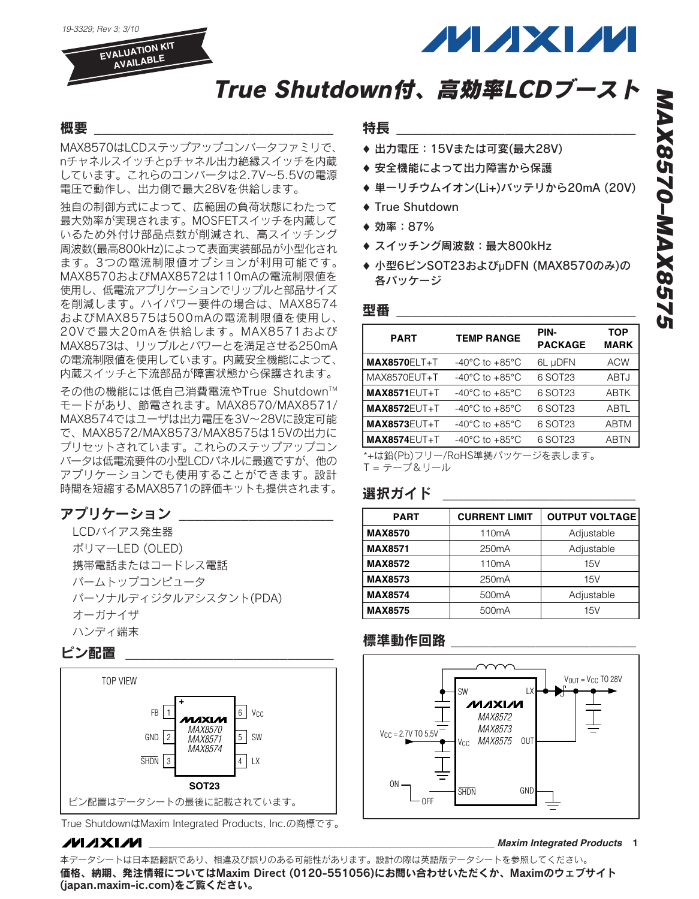*19-3329; Rev 3; 3/10*

**EVALUATION KIT AVAILABLE**



# True Shutdown付、高効率LCDブースト

## 概要 \_\_\_\_\_\_\_\_\_\_\_\_\_\_\_\_\_\_\_\_\_\_\_\_\_\_\_\_\_\_\_

MAX8570はLCDステップアップコンバータファミリで、 nチャネルスイッチとpチャネル出力絶縁スイッチを内蔵 しています。これらのコンバータは2.7V~5.5Vの電源 電圧で動作し、出力側で最大28Vを供給します。

独自の制御方式によって、広範囲の負荷状態にわたって 最大効率が実現されます。MOSFETスイッチを内蔵して いるため外付け部品点数が削減され、高スイッチング 周波数(最高800kHz)によって表面実装部品が小型化され ます。3つの電流制限値オプションが利用可能です。 MAX8570およびMAX8572は110mAの電流制限値を 使用し、低電流アプリケーションでリップルと部品サイズ を削減します。ハイパワー要件の場合は、MAX8574 およびMAX8575は500mAの電流制限値を使用し、 20Vで最大20mAを供給します。MAX8571および MAX8573は、リップルとパワーとを満足させる250mA の電流制限値を使用しています。内蔵安全機能によって、 内蔵スイッチと下流部品が障害状態から保護されます。

その他の機能には低自己消費電流やTrue Shutdown™ モードがあり、節電されます。MAX8570/MAX8571/ MAX8574ではユーザは出力電圧を3V~28Vに設定可能 で、MAX8572/MAX8573/MAX8575は15Vの出力に プリセットされています。これらのステップアップコン バータは低電流要件の小型LCDパネルに最適ですが、他の アプリケーションでも使用することができます。設計 時間を短縮するMAX8571の評価キットも提供されます。

## アプリケーション

LCDバイアス発生器 ポリマーLED (OLED) 携帯電話またはコードレス電話 パームトップコンピュータ パーソナルディジタルアシスタント(PDA) オーガナイザ ハンディ端末

### ピン配置 \_\_\_\_\_\_\_\_\_\_\_\_\_\_\_\_\_\_\_\_\_\_\_\_\_\_\_



True ShutdownはMaxim Integrated Products, Inc.の商標です。

#### **MAXIM**

特長 \_\_\_\_\_\_\_\_\_\_\_\_\_\_\_\_\_\_\_\_\_\_\_\_\_\_\_\_\_\_\_

- ♦ 出力電圧:15Vまたは可変(最大28V)
- ◆ 安全機能によって出力障害から保護
- ♦ 単一リチウムイオン(Li+)バッテリから20mA (20V)
- ♦ True Shutdown
- ♦ 効率:87%
- ◆ スイッチング周波数: 最大800kHz
- ♦ 小型6ピンSOT23およびµDFN (MAX8570のみ)の 各パッケージ

#### 型番  $\equiv$

| <b>PART</b>                   | <b>TEMP RANGE</b>                    | PIN-<br><b>PACKAGE</b> | <b>TOP</b><br><b>MARK</b> |
|-------------------------------|--------------------------------------|------------------------|---------------------------|
| $MAX8570ELT+T$                | -40 $^{\circ}$ C to +85 $^{\circ}$ C | 6L µDFN                | <b>ACW</b>                |
| MAX8570EUT+T                  | $-40^{\circ}$ C to $+85^{\circ}$ C   | 6 SOT23                | ABTJ                      |
| <b>MAX8571EUT+T</b>           | $-40^{\circ}$ C to $+85^{\circ}$ C   | 6 SOT23                | <b>ABTK</b>               |
| <b>MAX8572EUT+T</b>           | $-40^{\circ}$ C to $+85^{\circ}$ C   | 6 SOT23                | <b>ABTL</b>               |
| <b>MAX8573EUT+T</b>           | $-40^{\circ}$ C to $+85^{\circ}$ C   | 6 SOT23                | <b>ABTM</b>               |
| <b>MAX8574EUT+T</b>           | $-40^{\circ}$ C to $+85^{\circ}$ C   | 6 SOT23                | <b>ABTN</b>               |
| *+は鉛(Pb)フリー/RoHS準拠パッケージを表します。 |                                      |                        |                           |

T = テープ&リール

### 選択ガイド

| <b>PART</b>    | <b>CURRENT LIMIT</b> | <b>OUTPUT VOLTAGE</b> |
|----------------|----------------------|-----------------------|
| <b>MAX8570</b> | 110 <sub>m</sub> A   | Adjustable            |
| <b>MAX8571</b> | 250 <sub>m</sub> A   | Adjustable            |
| <b>MAX8572</b> | 110 <sub>m</sub> A   | 15V                   |
| <b>MAX8573</b> | 250 <sub>m</sub> A   | 15V                   |
| <b>MAX8574</b> | 500 <sub>m</sub> A   | Adjustable            |
| <b>MAX8575</b> | 500 <sub>m</sub> A   | 15V                   |

### 標準動作回路



**\_\_\_\_\_\_\_\_\_\_\_\_\_\_\_\_\_\_\_\_\_\_\_\_\_\_\_\_\_\_\_\_\_\_\_\_\_\_\_\_\_\_\_\_\_\_\_\_\_\_\_\_\_\_\_\_\_\_\_\_\_\_\_\_** *Maxim Integrated Products* **1**

本データシートは日本語翻訳であり、相違及び誤りのある可能性があります。設計の際は英語版データシートを参照してください。 価格、納期、発注情報についてはMaxim Direct (0120-551056)にお問い合わせいただくか、Maximのウェブサイト [\(japan.maxim-ic.com\)を](http://japan.maxim-ic.com)ご覧ください。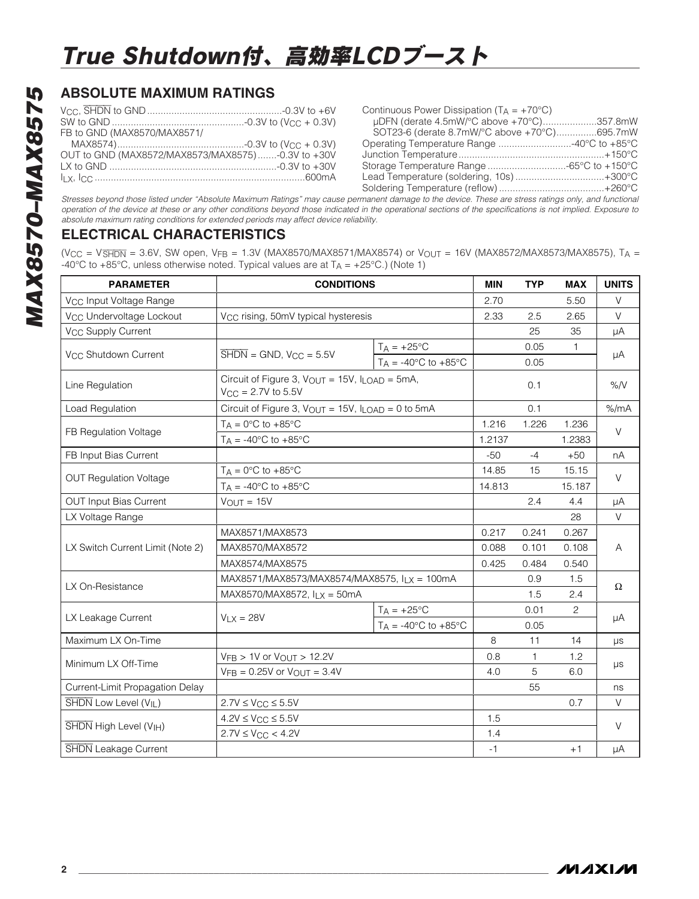# **ABSOLUTE MAXIMUM RATINGS**

| FB to GND (MAX8570/MAX8571/                       |  |
|---------------------------------------------------|--|
|                                                   |  |
| OUT to GND (MAX8572/MAX8573/MAX8575)-0.3V to +30V |  |
|                                                   |  |
| <u>ILX, ICC ……………………………………………………………………600mA</u>   |  |
|                                                   |  |

| Continuous Power Dissipation ( $T_A = +70^{\circ}C$ ) |  |
|-------------------------------------------------------|--|
| µDFN (derate 4.5mW/°C above +70°C)357.8mW             |  |
| SOT23-6 (derate 8.7mW/°C above +70°C)695.7mW          |  |
| Operating Temperature Range 40°C to +85°C             |  |
|                                                       |  |
| Storage Temperature Range -65°C to +150°C             |  |
| Lead Temperature (soldering, 10s)+300°C               |  |
|                                                       |  |
|                                                       |  |

*Stresses beyond those listed under "Absolute Maximum Ratings" may cause permanent damage to the device. These are stress ratings only, and functional operation of the device at these or any other conditions beyond those indicated in the operational sections of the specifications is not implied. Exposure to absolute maximum rating conditions for extended periods may affect device reliability.*

## **ELECTRICAL CHARACTERISTICS**

 $(V_{CC} = V_{\overline{S H DN}} = 3.6V$ , SW open,  $V_{FB} = 1.3V$  (MAX8570/MAX8571/MAX8574) or  $V_{OUT} = 16V$  (MAX8572/MAX8573/MAX8575), T<sub>A</sub> = -40°C to +85°C, unless otherwise noted. Typical values are at  $T_A = +25$ °C.) (Note 1)

| <b>PARAMETER</b>                     | <b>CONDITIONS</b>                                                                                  |                                        | <b>MIN</b> | <b>TYP</b> | <b>MAX</b>            | <b>UNITS</b> |
|--------------------------------------|----------------------------------------------------------------------------------------------------|----------------------------------------|------------|------------|-----------------------|--------------|
| V <sub>CC</sub> Input Voltage Range  |                                                                                                    |                                        | 2.70       |            | 5.50                  | V            |
| V <sub>CC</sub> Undervoltage Lockout | V <sub>CC</sub> rising, 50mV typical hysteresis                                                    |                                        | 2.33       | 2.5        | 2.65                  | V            |
| V <sub>CC</sub> Supply Current       |                                                                                                    |                                        |            | 25         | 35                    | μA           |
|                                      |                                                                                                    | $T_A = +25$ °C                         |            | 0.05       | 1                     |              |
| V <sub>CC</sub> Shutdown Current     | $\overline{\text{SHDN}}$ = GND, $V_{CC}$ = 5.5V                                                    | $T_A = -40\degree C$ to $+85\degree C$ |            | 0.05       |                       | μA           |
| Line Regulation                      | Circuit of Figure 3, $V_{\text{OUT}} = 15V$ , $I_{\text{LOAD}} = 5mA$ ,<br>$V_{CC} = 2.7V$ to 5.5V |                                        |            | 0.1        |                       | %N           |
| Load Regulation                      | Circuit of Figure 3, $V_{\text{OUT}} = 15V$ , $I_{\text{LOAD}} = 0$ to 5mA                         |                                        |            | 0.1        |                       | % /mA        |
|                                      | $T_A = 0$ °C to +85°C                                                                              |                                        | 1.216      | 1.226      | 1.236                 | $\vee$       |
| FB Regulation Voltage                | $T_A = -40\degree C$ to $+85\degree C$                                                             |                                        | 1.2137     |            | 1.2383                |              |
| FB Input Bias Current                |                                                                                                    |                                        | $-50$      | $-4$       | $+50$                 | nA           |
|                                      | $T_A = 0$ °C to +85°C                                                                              |                                        | 14.85      | 15         | 15.15                 | $\vee$       |
| <b>OUT Regulation Voltage</b>        | $T_A = -40$ °C to $+85$ °C                                                                         |                                        | 14.813     |            | 15.187                |              |
| <b>OUT Input Bias Current</b>        | $V_{OUT} = 15V$                                                                                    |                                        |            | 2.4        | 4.4                   | μA           |
| LX Voltage Range                     |                                                                                                    |                                        |            |            | 28                    | $\vee$       |
|                                      | MAX8571/MAX8573                                                                                    |                                        | 0.217      | 0.241      | 0.267                 | A            |
| LX Switch Current Limit (Note 2)     | MAX8570/MAX8572                                                                                    |                                        | 0.088      | 0.101      | 0.108                 |              |
|                                      | MAX8574/MAX8575                                                                                    |                                        | 0.425      | 0.484      | 0.540                 |              |
| LX On-Resistance                     | MAX8571/MAX8573/MAX8574/MAX8575, ILX = 100mA                                                       |                                        |            | 0.9        | 1.5                   |              |
|                                      | MAX8570/MAX8572, $I_{LX} = 50mA$                                                                   |                                        |            | 1.5        | 2.4                   | Ω            |
|                                      |                                                                                                    | $T_A = +25$ °C                         |            | 0.01       | $\mathbf{2}^{\prime}$ | μA           |
| LX Leakage Current                   | $V_{LX} = 28V$                                                                                     | $T_A = -40$ °C to $+85$ °C             |            | 0.05       |                       |              |
| Maximum LX On-Time                   |                                                                                                    |                                        | 8          | 11         | 14                    | $\mu s$      |
|                                      | $V_{FB}$ > 1V or $V_{OUT}$ > 12.2V                                                                 |                                        | 0.8        | 1          | 1.2                   | μs           |
| Minimum LX Off-Time                  | $VFB = 0.25V$ or $V_{OUT} = 3.4V$                                                                  |                                        | 4.0        | 5          | 6.0                   |              |
| Current-Limit Propagation Delay      |                                                                                                    |                                        |            | 55         |                       | ns           |
| SHDN Low Level (V <sub>IL</sub> )    | $2.7V \leq V_{CC} \leq 5.5V$                                                                       |                                        |            |            | 0.7                   | $\vee$       |
|                                      | $4.2V \leq V_{CC} \leq 5.5V$                                                                       |                                        | 1.5        |            |                       | $\vee$       |
| SHDN High Level (V <sub>IH</sub> )   | $2.7V \leq V_{CC} < 4.2V$                                                                          |                                        | 1.4        |            |                       |              |
| <b>SHDN</b> Leakage Current          |                                                                                                    |                                        |            |            | $+1$                  | μA           |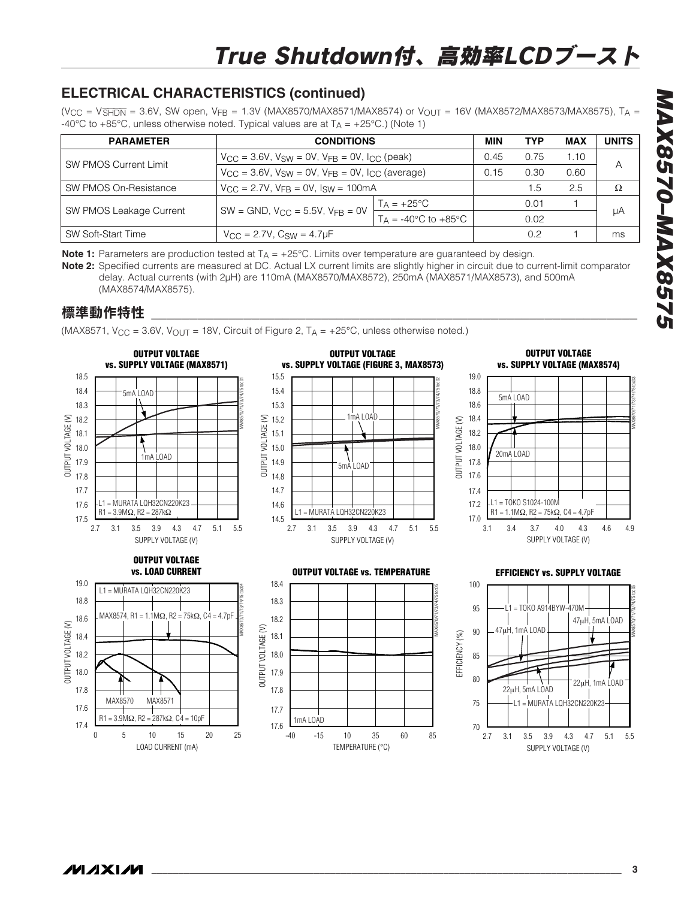# **ELECTRICAL CHARACTERISTICS (continued)**

 $(V_{CC} = V\overline{\text{SHDN}} = 3.6V$ , SW open,  $V_{FB} = 1.3V$  (MAX8570/MAX8571/MAX8574) or  $V_{OUT} = 16V$  (MAX8572/MAX8573/MAX8575), TA -40°C to +85°C, unless otherwise noted. Typical values are at  $T_A = +25$ °C.) (Note 1)

| <b>PARAMETER</b>             | <b>CONDITIONS</b>                                                              |                            |      | <b>TYP</b> | <b>MAX</b> | <b>UNITS</b> |
|------------------------------|--------------------------------------------------------------------------------|----------------------------|------|------------|------------|--------------|
| <b>SW PMOS Current Limit</b> | $V_{\rm CC}$ = 3.6V, $V_{\rm SW}$ = 0V, $V_{\rm FB}$ = 0V, $I_{\rm CC}$ (peak) |                            | 0.45 | 0.75       | 1.10       |              |
|                              | $V_{CC}$ = 3.6V, $V_{SW}$ = 0V, $V_{FR}$ = 0V, $I_{CC}$ (average)              |                            | 0.15 | 0.30       | 0.60       | Α            |
| SW PMOS On-Resistance        | $V_{\rm CC} = 2.7V$ , $V_{\rm FR} = 0V$ , $I_{\rm SW} = 100 \text{mA}$         |                            |      | 1.5        | 2.5        | Ω            |
|                              |                                                                                | $T_A = +25$ °C             |      | 0.01       |            |              |
| SW PMOS Leakage Current      | $SW = GND$ , $V_{CC} = 5.5V$ , $V_{FR} = 0V$                                   | $T_A = -40$ °C to $+85$ °C |      | 0.02       |            | μA           |
| SW Soft-Start Time           | $V_{\rm CC} = 2.7V$ , $C_{\rm SW} = 4.7 \mu F$                                 |                            |      | 0.2        |            | ms           |

**Note 1:** Parameters are production tested at  $T_A = +25^{\circ}$ C. Limits over temperature are guaranteed by design.

**Note 2:** Specified currents are measured at DC. Actual LX current limits are slightly higher in circuit due to current-limit comparator delay. Actual currents (with 2µH) are 110mA (MAX8570/MAX8572), 250mA (MAX8571/MAX8573), and 500mA (MAX8574/MAX8575).

# 標準動作特性

(MAX8571, V<sub>CC</sub> = 3.6V, V<sub>OUT</sub> = 18V, Circuit of Figure 2, T<sub>A</sub> = +25°C, unless otherwise noted.)

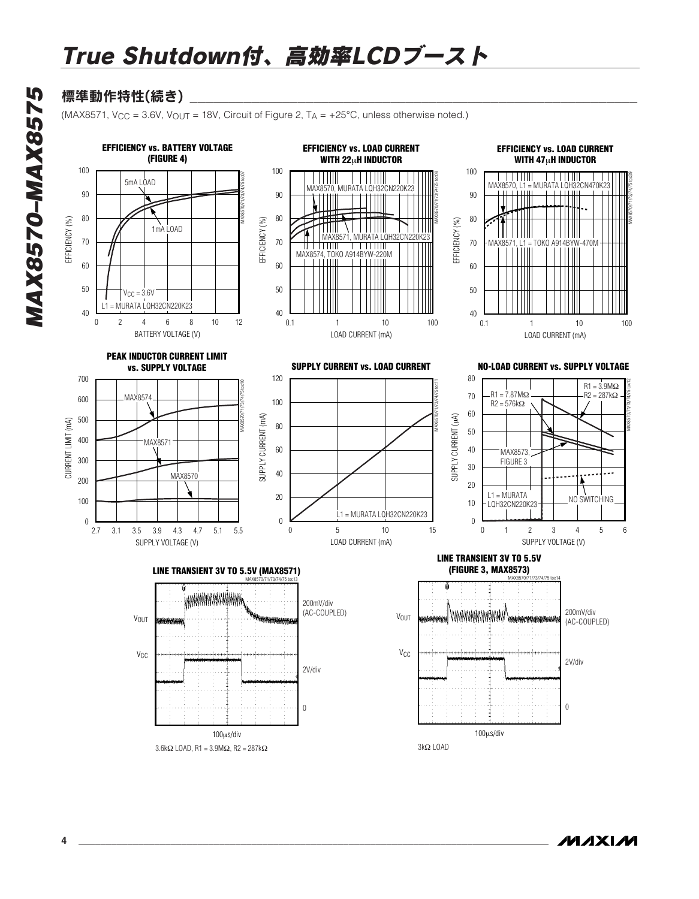# 標準動作特性(続き)

(MAX8571, V<sub>CC</sub> = 3.6V, V<sub>OUT</sub> = 18V, Circuit of Figure 2, T<sub>A</sub> =  $+25^{\circ}$ C, unless otherwise noted.)



**MAXM**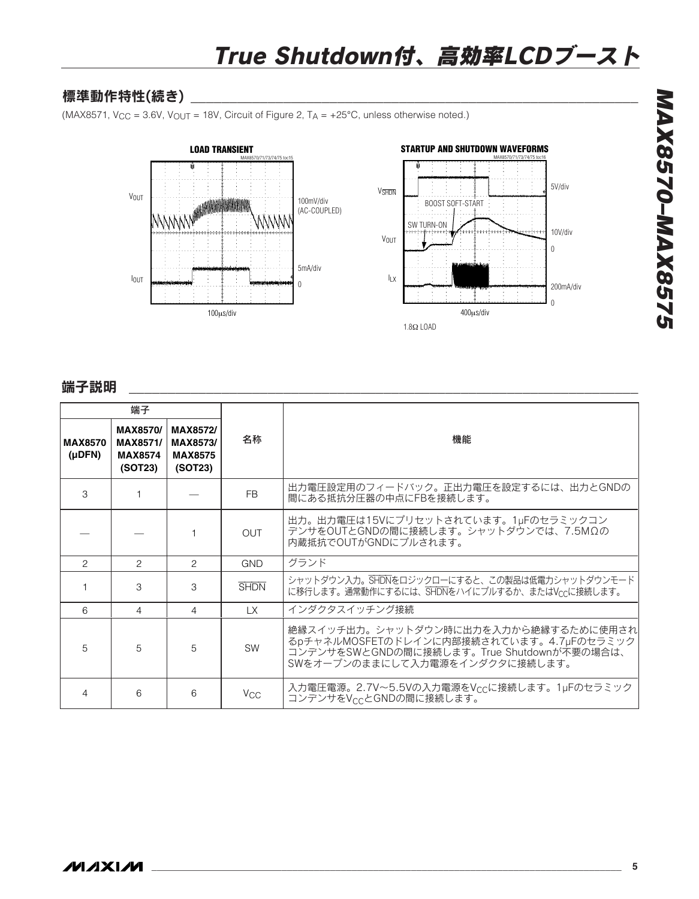# 標準動作特性(続き)

(MAX8571, V<sub>CC</sub> = 3.6V, V<sub>OUT</sub> = 18V, Circuit of Figure 2, T<sub>A</sub> =  $+25^{\circ}$ C, unless otherwise noted.)



## 端子説明 \_\_\_\_\_\_\_\_\_\_\_\_\_\_\_\_\_\_\_\_\_\_\_\_\_\_\_\_\_\_\_\_\_\_\_\_\_\_\_\_\_\_\_\_\_\_\_\_\_\_\_\_\_\_\_\_\_\_\_\_\_\_\_\_\_\_

|                          | 端子                                                       |                                                   |                       |                                                                                                                                                                  |  |  |
|--------------------------|----------------------------------------------------------|---------------------------------------------------|-----------------------|------------------------------------------------------------------------------------------------------------------------------------------------------------------|--|--|
| <b>MAX8570</b><br>(µDFN) | <b>MAX8570/</b><br>MAX8571/<br><b>MAX8574</b><br>(SOT23) | MAX8572/<br>MAX8573/<br><b>MAX8575</b><br>(SOT23) | 名称                    | 機能                                                                                                                                                               |  |  |
| 3                        |                                                          |                                                   | <b>FB</b>             | 出力電圧設定用のフィードバック。正出力電圧を設定するには、出力とGNDの<br>間にある抵抗分圧器の中点にFBを接続します。                                                                                                   |  |  |
|                          |                                                          |                                                   | <b>OUT</b>            | 出力。出力電圧は15Vにプリセットされています。1µFのセラミックコン<br>デンサをOUTとGNDの間に接続します。シャットダウンでは、7.5MΩの<br>内蔵抵抗でOUTがGNDにプルされます。                                                              |  |  |
| $\mathcal{P}$            | $\mathcal{P}$                                            | $\mathcal{P}$                                     | GND                   | グランド                                                                                                                                                             |  |  |
|                          | 3                                                        | 3                                                 | <b>SHDN</b>           | シャットダウン入力。SHDNをロジックローにすると、この製品は低電力シャットダウンモード<br>に移行します。通常動作にするには、SHDNをハイにプルするか、またはVccに接続します。                                                                     |  |  |
| 6                        | 4                                                        | 4                                                 | LX.                   | インダクタスイッチング接続                                                                                                                                                    |  |  |
| 5                        | 5                                                        | 5                                                 | <b>SW</b>             | 絶縁スイッチ出力。シャットダウン時に出力を入力から絶縁するために使用され<br>るpチャネルMOSFETのドレインに内部接続されています。4.7µFのセラミック<br>コンデンサをSWとGNDの間に接続します。True Shutdownが不要の場合は、<br>SWをオープンのままにして入力電源をインダクタに接続します。 |  |  |
| 4                        | 6                                                        | 6                                                 | <b>V<sub>CC</sub></b> | 入力電圧電源。2.7V~5.5Vの入力電源をVccに接続します。1µFのセラミック<br>コンデンサをVccとGNDの間に接続します。                                                                                              |  |  |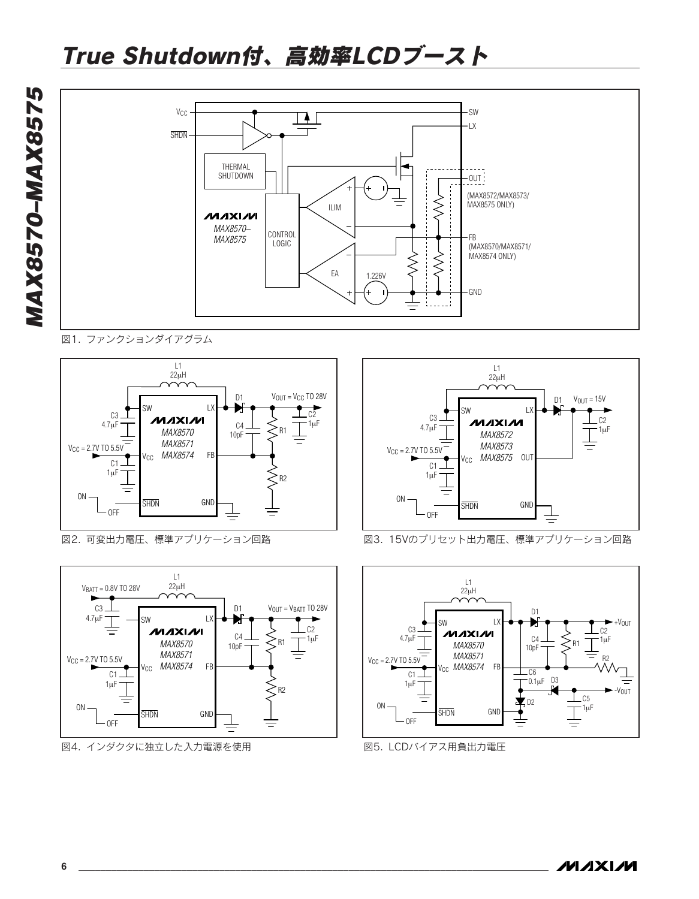

図1. ファンクションダイアグラム



図2. 可変出力電圧、標準アプリケーション回路



図4. インダクタに独立した入力電源を使用



図3. 15Vのプリセット出力電圧、標準アプリケーション回路



図5. LCDバイアス用負出力電圧

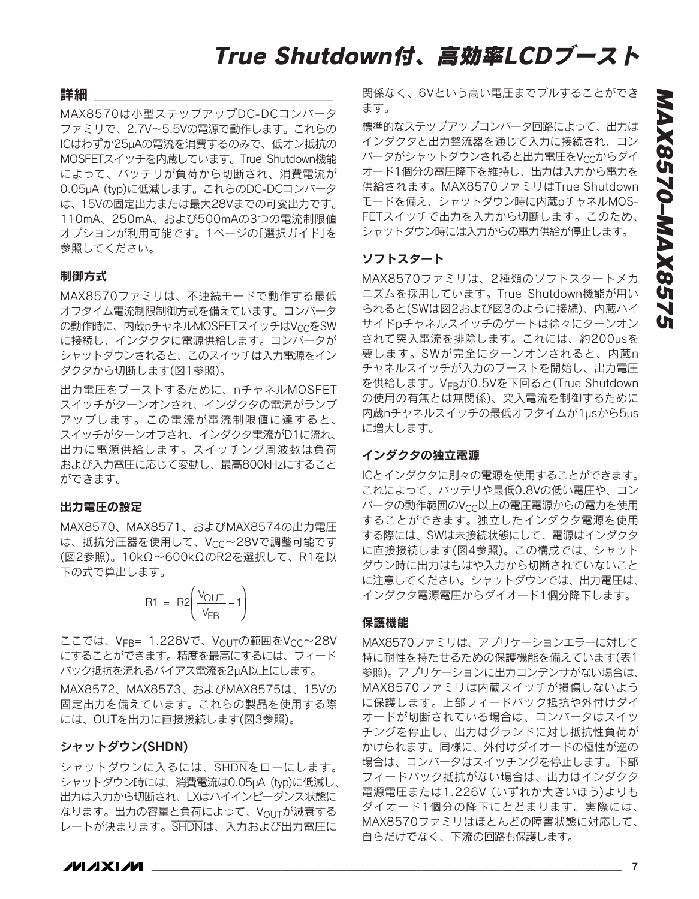#### 詳細

MAX8570は小型ステップアップDC-DCコンバータ ファミリで、2.7V~5.5Vの電源で動作します。これらの ICはわずか25µAの電流を消費するのみで、低オン抵抗の MOSFETスイッチを内蔵しています。True Shutdown機能 によって、バッテリが負荷から切断され、消費電流が 0.05µA (typ)に低減します。これらのDC-DCコンバータ は、15Vの固定出力または最大28Vまでの可変出力です。 110mA、250mA、および500mAの3つの電流制限値 オプションが利用可能です。1ページの「選択ガイド」を 参照してください。

#### 制御方式

MAX8570ファミリは、不連続モードで動作する最低 オフタイム電流制限制御方式を備えています。コンバータ の動作時に、内蔵pチャネルMOSFETスイッチはVccをSW に接続し、インダクタに電源供給します。コンバータが シャットダウンされると、このスイッチは入力電源をイン ダクタから切断します(図1参照)。

出力電圧をブーストするために、nチャネルMOSFET スイッチがターンオンされ、インダクタの電流がランプ アップします。この電流が電流制限値に達すると、 スイッチがターンオフされ、インダクタ電流がD1に流れ、 出力に電源供給します。スイッチング周波数は負荷 および入力電圧に応じて変動し、最高800kHzにすること ができます。

#### 出力電圧の設定

MAX8570、MAX8571、およびMAX8574の出力電圧 は、抵抗分圧器を使用して、Vcc~28Vで調整可能です (図2参照)。10kΩ~600kΩのR2を選択して、R1を以 下の式で算出します。

$$
R1 = R2 \left( \frac{V_{OUT}}{V_{FB}} - 1 \right)
$$

ここでは、VFB= 1.226Vで、VOUTの範囲をVCC~28V にすることができます。精度を最高にするには、フィード バック抵抗を流れるバイアス電流を2µA以上にします。

MAX8572、MAX8573、およびMAX8575は、15Vの 固定出力を備えています。これらの製品を使用する際 には、OUTを出力に直接接続します(図3参照)。

#### シャットダウン(SHDN)

シャットダウンに入るには、SHDNをローにします。 シャットダウン時には、消費電流は0.05µA (typ)に低減し、 出力は入力から切断され、LXはハイインピーダンス状態に なります。出力の容量と負荷によって、VOUTが減衰する レートが決まります。SHDNは、入力および出力電圧に

関係なく、6Vという高い電圧までプルすることができ ます。

標準的なステップアップコンバータ回路によって、出力は インダクタと出力整流器を通じて入力に接続され、コン バータがシャットダウンされると出力電圧をVccからダイ オード1個分の電圧降下を維持し、出力は入力から電力を 供給されます。MAX8570ファミリはTrue Shutdown モードを備え、シャットダウン時に内蔵pチャネルMOS-FETスイッチで出力を入力から切断します。このため、 シャットダウン時には入力からの電力供給が停止します。

#### ソフトスタート

MAX8570ファミリは、2種類のソフトスタートメカ ニズムを採用しています。True Shutdown機能が用い られると(SWは図2および図3のように接続)、内蔵ハイ サイドpチャネルスイッチのゲートは徐々にターンオン されて突入電流を排除します。これには、約200µsを 要します。SWが完全にターンオンされると、内蔵n チャネルスイッチが入力のブーストを開始し、出力電圧 を供給します。VFRが0.5Vを下回ると(True Shutdown の使用の有無とは無関係)、突入電流を制御するために 内蔵nチャネルスイッチの最低オフタイムが1µsから5µs に増大します。

#### インダクタの独立電源

ICとインダクタに別々の電源を使用することができます。 これによって、バッテリや最低0.8Vの低い電圧や、コン バータの動作範囲のVcc以上の電圧電源からの電力を使用 することができます。独立したインダクタ電源を使用 する際には、SWは未接続状態にして、電源はインダクタ に直接接続します(図4参照)。この構成では、シャット ダウン時に出力はもはや入力から切断されていないこと に注意してください。シャットダウンでは、出力電圧は、 インダクタ電源電圧からダイオード1個分降下します。

#### 保護機能

MAX8570ファミリは、アプリケーションエラーに対して 特に耐性を持たせるための保護機能を備えています(表1 参照)。アプリケーションに出力コンデンサがない場合は、 MAX8570ファミリは内蔵スイッチが損傷しないよう に保護します。上部フィードバック抵抗や外付けダイ オードが切断されている場合は、コンバータはスイッ チングを停止し、出力はグランドに対し抵抗性負荷が かけられます。同様に、外付けダイオードの極性が逆の 場合は、コンバータはスイッチングを停止します。下部 フィードバック抵抗がない場合は、出力はインダクタ 電源電圧または1.226V (いずれか大きいほう)よりも ダイオード1個分の降下にとどまります。実際には、 MAX8570ファミリはほとんどの障害状態に対応して、 自らだけでなく、下流の回路も保護します。

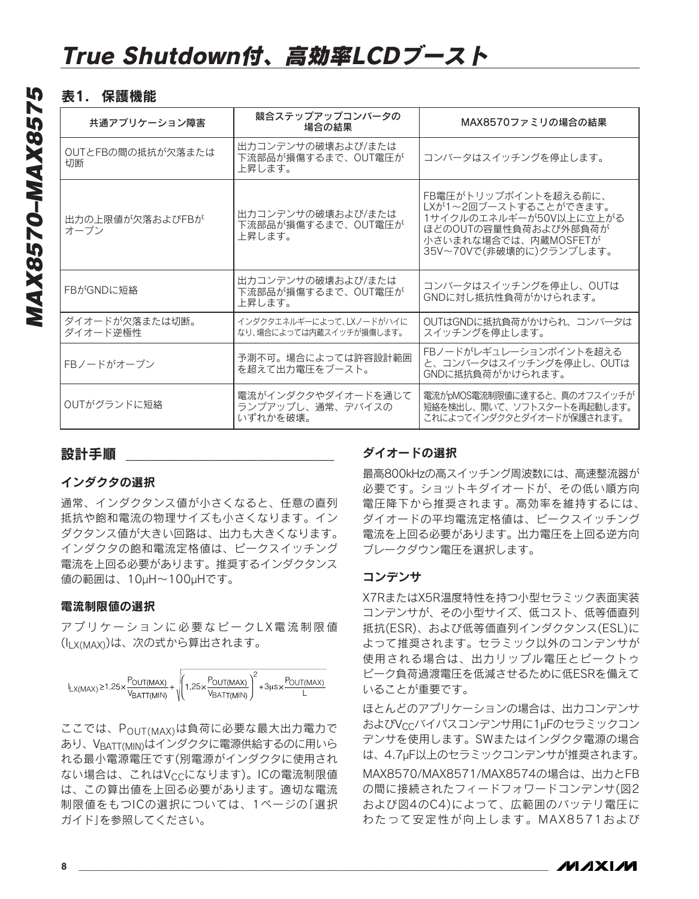## 表1. 保護機能

| 共通アプリケーション障害               | 競合ステップアップコンバータの<br>場合の結果                            | MAX8570ファミリの場合の結果                                                                                                                                  |
|----------------------------|-----------------------------------------------------|----------------------------------------------------------------------------------------------------------------------------------------------------|
| OUTとFBの間の抵抗が欠落または<br>切断    | 出力コンデンサの破壊および/または<br>下流部品が損傷するまで、OUT電圧が<br>上昇します。   | コンバータはスイッチングを停止します。                                                                                                                                |
| 出力の上限値が欠落およびFBが<br>オープン    | 出力コンデンサの破壊および/または<br>下流部品が損傷するまで、OUT電圧が<br>上昇します。   | FB電圧がトリップポイントを超える前に、<br>LXが1~2回ブーストすることができます。<br>1サイクルのエネルギーが50V以上に立上がる<br>ほどのOUTの容量性負荷および外部負荷が<br>小さいまれな場合では、内蔵MOSFETが<br>35V~70Vで(非破壊的に)クランプします。 |
| FBがGNDに短絡                  | 出力コンデンサの破壊および/または<br>下流部品が損傷するまで、OUT電圧が<br>上昇します。   | コンバータはスイッチングを停止し、OUTは<br>GNDに対し抵抗性負荷がかけられます。                                                                                                       |
| ダイオードが欠落または切断。<br>ダイオード逆極性 | インダクタエネルギーによって、LXノードがハイに<br>なり、場合によっては内蔵スイッチが損傷します。 | OUTはGNDに抵抗負荷がかけられ、コンバータは<br>スイッチングを停止します。                                                                                                          |
| FBノードがオープン                 | 予測不可。場合によっては許容設計範囲<br>を超えて出力電圧をブースト。                | FBノードがレギュレーションポイントを超える<br>と、コンバータはスイッチングを停止し、OUTは<br>GNDに抵抗負荷がかけられます。                                                                              |
| OUTがグランドに短絡                | 電流がインダクタやダイオードを通じて<br>ランプアップし、通常、デバイスの<br>いずれかを破壊。  | 電流がpMOS電流制限値に達すると、真のオフスイッチが<br>短絡を検出し、開いて、ソフトスタートを再起動します。<br>これによってインダクタとダイオードが保護されます。                                                             |

## 設計手順

#### インダクタの選択

通常、インダクタンス値が小さくなると、任意の直列 抵抗や飽和電流の物理サイズも小さくなります。イン ダクタンス値が大きい回路は、出力も大きくなります。 インダクタの飽和電流定格値は、ピークスイッチング 電流を上回る必要があります。推奨するインダクタンス 値の範囲は、10µH~100µHです。

#### 電流制限値の選択

アプリケーションに必要なピークLX電流制限値 (ILX(MAX))は、次の式から算出されます。



ここでは、P<sub>OUT(MAX)</sub>は負荷に必要な最大出力電力で あり、VBATT(MIN)はインダクタに電源供給するのに用いら れる最小電源電圧です(別電源がインダクタに使用され ない場合は、これはVccになります)。ICの電流制限値 は、この算出値を上回る必要があります。適切な電流 制限値をもつICの選択については、1ページの「選択 ガイド」を参照してください。

## ダイオードの選択

最高800kHzの高スイッチング周波数には、高速整流器が 必要です。ショットキダイオードが、その低い順方向 電圧降下から推奨されます。高効率を維持するには、 ダイオードの平均電流定格値は、ピークスイッチング 電流を上回る必要があります。出力電圧を上回る逆方向 ブレークダウン電圧を選択します。

### コンデンサ

X7RまたはX5R温度特性を持つ小型セラミック表面実装 コンデンサが、その小型サイズ、低コスト、低等価直列 抵抗(ESR)、および低等価直列インダクタンス(ESL)に よって推奨されます。セラミック以外のコンデンサが 使用される場合は、出力リップル電圧とピークトゥ ピーク負荷過渡電圧を低減させるために低ESRを備えて いることが重要です。

ほとんどのアプリケーションの場合は、出力コンデンサ およびVCCバイパスコンデンサ用に1µFのセラミックコン デンサを使用します。SWまたはインダクタ電源の場合 は、4.7µF以上のセラミックコンデンサが推奨されます。 MAX8570/MAX8571/MAX8574の場合は、出力とFB の間に接続されたフィードフォワードコンデンサ(図2 および図4のC4)によって、広範囲のバッテリ電圧に わたって安定性が向上します。MAX8571および

*IVI A* XI*IV*I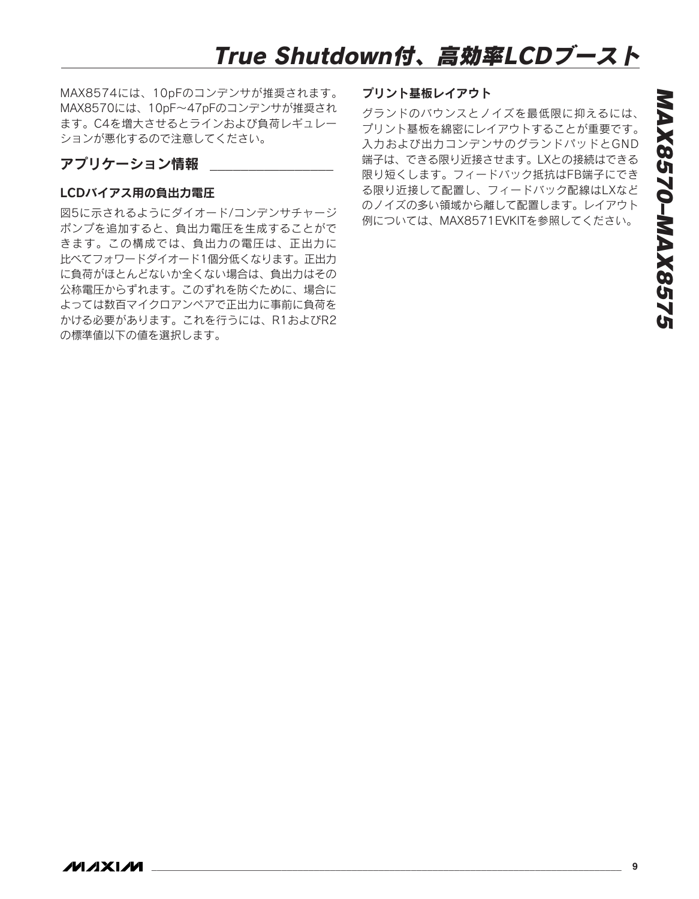MAX8574には、10pFのコンデンサが推奨されます。 MAX8570には、10pF~47pFのコンデンサが推奨され ます。C4を増大させるとラインおよび負荷レギュレー ションが悪化するので注意してください。

## アプリケーション情報

#### LCDバイアス用の負出力電圧

図5に示されるようにダイオード/コンデンサチャージ ポンプを追加すると、負出力電圧を生成することがで きます。この構成では、負出力の電圧は、正出力に 比べてフォワードダイオード1個分低くなります。正出力 に負荷がほとんどないか全くない場合は、負出力はその 公称電圧からずれます。このずれを防ぐために、場合に よっては数百マイクロアンペアで正出力に事前に負荷を かける必要があります。これを行うには、R1およびR2 の標準値以下の値を選択します。

#### プリント基板レイアウト

グランドのバウンスとノイズを最低限に抑えるには、 プリント基板を綿密にレイアウトすることが重要です。 入力および出力コンデンサのグランドパッドとGND 端子は、できる限り近接させます。LXとの接続はできる 限り短くします。フィードバック抵抗はFB端子にでき る限り近接して配置し、フィードバック配線はLXなど のノイズの多い領域から離して配置します。レイアウト 例については、MAX8571EVKITを参照してください。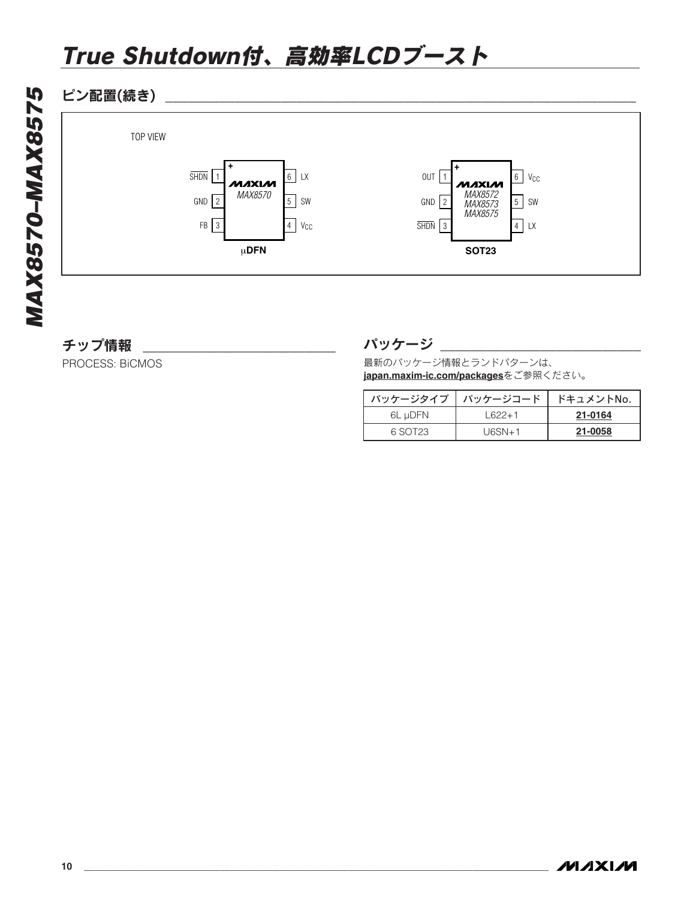## ピン配置(続き) \_\_\_\_\_\_\_\_\_\_\_\_\_\_\_\_\_\_\_\_\_\_\_\_\_\_\_\_\_\_\_\_\_\_\_\_\_\_\_\_\_\_\_\_\_\_\_\_\_\_\_\_\_\_\_\_\_\_\_\_\_



## チップ情報

PROCESS: BiCMOS

### パッケージ

最新のパッケージ情報とランドパターンは、 **[japan.maxim-ic.com/packages](http://japan.maxim-ic.com/packages)**をご参照ください。

| パッケージタイプ | パッケージコード | ドキュメントNo. |
|----------|----------|-----------|
| 6L µDFN  | $1622+1$ | 21-0164   |
| 6.SOT23  | $U6SN+1$ | 21-0058   |